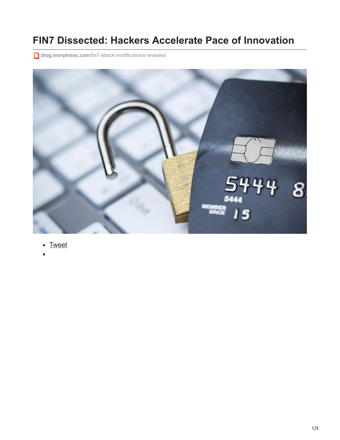## **FIN7 Dissected: Hackers Accelerate Pace of Innovation**

**blog.morphisec.com[/fin7-attack-modifications-revealed](http://blog.morphisec.com/fin7-attack-modifications-revealed)** 



- [Tweet](https://twitter.com/share)
-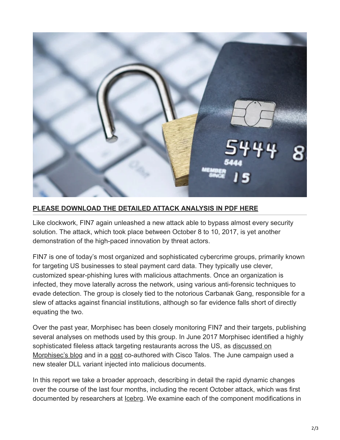

## **[PLEASE DOWNLOAD THE DETAILED ATTACK ANALYSIS IN PDF HERE](http://engage.morphisec.com/fin7-dissected-hackers-accelerate-innovation)**

Like clockwork, FIN7 again unleashed a new attack able to bypass almost every security solution. The attack, which took place between October 8 to 10, 2017, is yet another demonstration of the high-paced innovation by threat actors.

FIN7 is one of today's most organized and sophisticated cybercrime groups, primarily known for targeting US businesses to steal payment card data. They typically use clever, customized spear-phishing lures with malicious attachments. Once an organization is infected, they move laterally across the network, using various anti-forensic techniques to evade detection. The group is closely tied to the notorious Carbanak Gang, responsible for a slew of attacks against financial institutions, although so far evidence falls short of directly equating the two.

Over the past year, Morphisec has been closely monitoring FIN7 and their targets, publishing several analyses on methods used by this group. In June 2017 Morphisec identified a highly [sophisticated fileless attack targeting restaurants across the US, as discussed on](http://blog.morphisec.com/fin7-attacks-restaurant-industry) Morphisec's blog and in a [post](http://blog.talosintelligence.com/2017/09/fin7-stealer.html) co-authored with Cisco Talos. The June campaign used a new stealer DLL variant injected into malicious documents.

In this report we take a broader approach, describing in detail the rapid dynamic changes over the course of the last four months, including the recent October attack, which was first documented by researchers at [Icebrg.](http://www.zdnet.com/article/carbanak-threat-group-change-plan-of-attack/) We examine each of the component modifications in